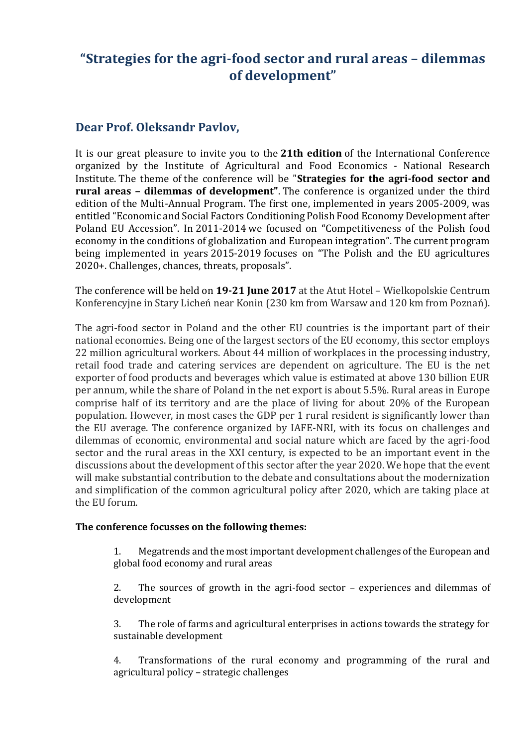# **"Strategies for the agri-food sector and rural areas – dilemmas of development"**

## **Dear Prof. Oleksandr Pavlov,**

It is our great pleasure to invite you to the **21th edition** of the International Conference organized by the Institute of Agricultural and Food Economics - National Research Institute. The theme of the conference will be "**Strategies for the agri-food sector and rural areas – dilemmas of development"**. The conference is organized under the third edition of the Multi-Annual Program. The first one, implemented in years 2005-2009, was entitled "Economic and Social Factors Conditioning Polish Food Economy Development after Poland EU Accession". In 2011-2014 we focused on "Competitiveness of the Polish food economy in the conditions of globalization and European integration". The current program being implemented in years 2015-2019 focuses on "The Polish and the EU agricultures 2020+. Challenges, chances, threats, proposals".

The conference will be held on **19-21 June 2017** at the Atut Hotel – Wielkopolskie Centrum Konferencyjne in Stary Licheń near Konin (230 km from Warsaw and 120 km from Poznań).

The agri-food sector in Poland and the other EU countries is the important part of their national economies. Being one of the largest sectors of the EU economy, this sector employs 22 million agricultural workers. About 44 million of workplaces in the processing industry, retail food trade and catering services are dependent on agriculture. The EU is the net exporter of food products and beverages which value is estimated at above 130 billion EUR per annum, while the share of Poland in the net export is about 5.5%. Rural areas in Europe comprise half of its territory and are the place of living for about 20% of the European population. However, in most cases the GDP per 1 rural resident is significantly lower than the EU average. The conference organized by IAFE-NRI, with its focus on challenges and dilemmas of economic, environmental and social nature which are faced by the agri-food sector and the rural areas in the XXI century, is expected to be an important event in the discussions about the development of this sector after the year 2020. We hope that the event will make substantial contribution to the debate and consultations about the modernization and simplification of the common agricultural policy after 2020, which are taking place at the EU forum.

#### **The conference focusses on the following themes:**

1. Megatrends and the most important development challenges of the European and global food economy and rural areas

2. The sources of growth in the agri-food sector – experiences and dilemmas of development

3. The role of farms and agricultural enterprises in actions towards the strategy for sustainable development

4. Transformations of the rural economy and programming of the rural and agricultural policy – strategic challenges